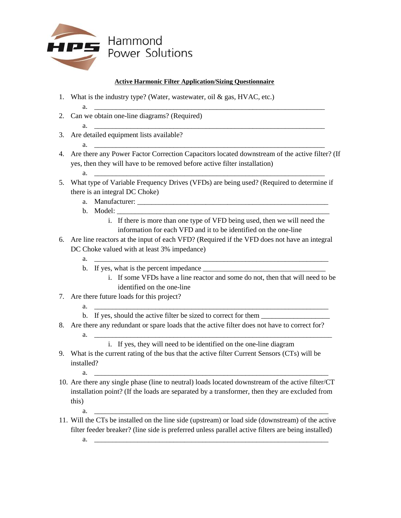

## **Active Harmonic Filter Application/Sizing Questionnaire**

- 1. What is the industry type? (Water, wastewater, oil & gas, HVAC, etc.)
- 2. Can we obtain one-line diagrams? (Required)
- 3. Are detailed equipment lists available?
- 4. Are there any Power Factor Correction Capacitors located downstream of the active filter? (If yes, then they will have to be removed before active filter installation)

a. \_\_\_\_\_\_\_\_\_\_\_\_\_\_\_\_\_\_\_\_\_\_\_\_\_\_\_\_\_\_\_\_\_\_\_\_\_\_\_\_\_\_\_\_\_\_\_\_\_\_\_\_\_\_\_\_\_\_\_\_\_\_\_\_

a. \_\_\_\_\_\_\_\_\_\_\_\_\_\_\_\_\_\_\_\_\_\_\_\_\_\_\_\_\_\_\_\_\_\_\_\_\_\_\_\_\_\_\_\_\_\_\_\_\_\_\_\_\_\_\_\_\_\_\_\_\_\_\_\_

a. \_\_\_\_\_\_\_\_\_\_\_\_\_\_\_\_\_\_\_\_\_\_\_\_\_\_\_\_\_\_\_\_\_\_\_\_\_\_\_\_\_\_\_\_\_\_\_\_\_\_\_\_\_\_\_\_\_\_\_\_\_\_\_\_

- a. \_\_\_\_\_\_\_\_\_\_\_\_\_\_\_\_\_\_\_\_\_\_\_\_\_\_\_\_\_\_\_\_\_\_\_\_\_\_\_\_\_\_\_\_\_\_\_\_\_\_\_\_\_\_\_\_\_\_\_\_\_\_\_\_
- 5. What type of Variable Frequency Drives (VFDs) are being used? (Required to determine if there is an integral DC Choke)
	- a. Manufacturer: \_\_\_\_\_\_\_\_\_\_\_\_\_\_\_\_\_\_\_\_\_\_\_\_\_\_\_\_\_\_\_\_\_\_\_\_\_\_\_\_\_\_\_\_\_\_\_\_\_\_\_\_\_
	- b. Model:
		- i. If there is more than one type of VFD being used, then we will need the information for each VFD and it to be identified on the one-line
- 6. Are line reactors at the input of each VFD? (Required if the VFD does not have an integral DC Choke valued with at least 3% impedance)
	- a. \_\_\_\_\_\_\_\_\_\_\_\_\_\_\_\_\_\_\_\_\_\_\_\_\_\_\_\_\_\_\_\_\_\_\_\_\_\_\_\_\_\_\_\_\_\_\_\_\_\_\_\_\_\_\_\_\_\_\_\_\_\_\_\_\_ b. If yes, what is the percent impedance
		- i. If some VFDs have a line reactor and some do not, then that will need to be identified on the one-line
- 7. Are there future loads for this project?
	- $a.$
	- b. If yes, should the active filter be sized to correct for them
- 8. Are there any redundant or spare loads that the active filter does not have to correct for?  $a.$

i. If yes, they will need to be identified on the one-line diagram

- 9. What is the current rating of the bus that the active filter Current Sensors (CTs) will be installed?
	- a. \_\_\_\_\_\_\_\_\_\_\_\_\_\_\_\_\_\_\_\_\_\_\_\_\_\_\_\_\_\_\_\_\_\_\_\_\_\_\_\_\_\_\_\_\_\_\_\_\_\_\_\_\_\_\_\_\_\_\_\_\_\_\_\_\_
- 10. Are there any single phase (line to neutral) loads located downstream of the active filter/CT installation point? (If the loads are separated by a transformer, then they are excluded from this)
	- a. \_\_\_\_\_\_\_\_\_\_\_\_\_\_\_\_\_\_\_\_\_\_\_\_\_\_\_\_\_\_\_\_\_\_\_\_\_\_\_\_\_\_\_\_\_\_\_\_\_\_\_\_\_\_\_\_\_\_\_\_\_\_\_\_\_
- 11. Will the CTs be installed on the line side (upstream) or load side (downstream) of the active filter feeder breaker? (line side is preferred unless parallel active filters are being installed)  $a.$ 
	-